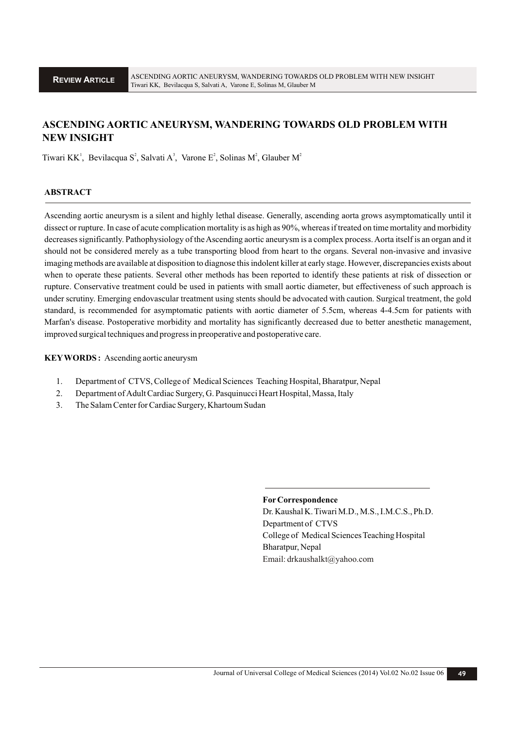# **ASCENDING AORTIC ANEURYSM, WANDERING TOWARDS OLD PROBLEM WITH NEW INSIGHT**

Tiwari KK<sup>1</sup>, Bevilacqua S<sup>2</sup>, Salvati A<sup>3</sup>, Varone E<sup>2</sup>, Solinas M<sup>2</sup>, Glauber M<sup>2</sup>

#### **ABSTRACT**

Ascending aortic aneurysm is a silent and highly lethal disease. Generally, ascending aorta grows asymptomatically until it dissect or rupture. In case of acute complication mortality is as high as 90%, whereas if treated on time mortality and morbidity decreases significantly. Pathophysiology of the Ascending aortic aneurysm is a complex process. Aorta itself is an organ and it should not be considered merely as a tube transporting blood from heart to the organs. Several non-invasive and invasive imaging methods are available at disposition to diagnose this indolent killer at early stage. However, discrepancies exists about when to operate these patients. Several other methods has been reported to identify these patients at risk of dissection or rupture. Conservative treatment could be used in patients with small aortic diameter, but effectiveness of such approach is under scrutiny. Emerging endovascular treatment using stents should be advocated with caution. Surgical treatment, the gold standard, is recommended for asymptomatic patients with aortic diameter of 5.5cm, whereas 4-4.5cm for patients with Marfan's disease. Postoperative morbidity and mortality has significantly decreased due to better anesthetic management, improved surgical techniques and progress in preoperative and postoperative care.

**KEYWORDS :** Ascending aortic aneurysm

- 1. Department of CTVS, College of Medical Sciences Teaching Hospital, Bharatpur, Nepal
- 2. Department of Adult Cardiac Surgery, G. Pasquinucci Heart Hospital, Massa, Italy
- 3. The Salam Center for Cardiac Surgery, Khartoum Sudan

#### **ForCorrespondence**

Dr. Kaushal K. Tiwari M.D., M.S., I.M.C.S., Ph.D. Department of CTVS College of Medical Sciences Teaching Hospital Bharatpur, Nepal Email: drkaushalkt@yahoo.com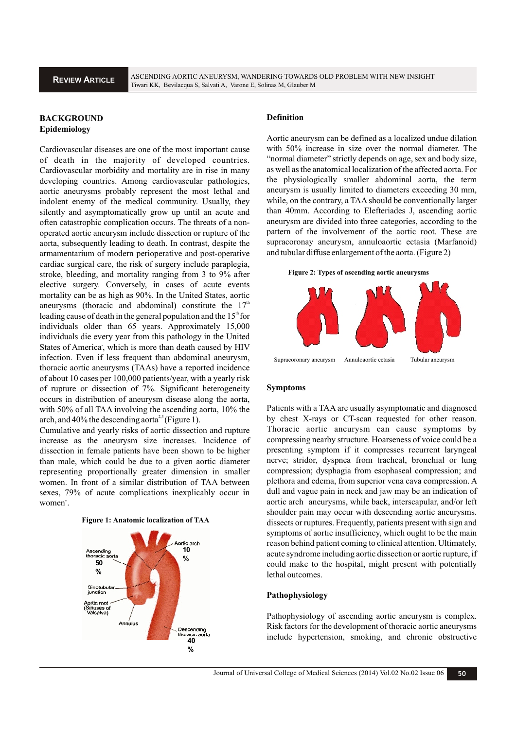## **BACKGROUND Epidemiology**

Cardiovascular diseases are one of the most important cause of death in the majority of developed countries. Cardiovascular morbidity and mortality are in rise in many developing countries. Among cardiovascular pathologies, aortic aneurysms probably represent the most lethal and indolent enemy of the medical community. Usually, they silently and asymptomatically grow up until an acute and often catastrophic complication occurs. The threats of a nonoperated aortic aneurysm include dissection or rupture of the aorta, subsequently leading to death. In contrast, despite the armamentarium of modern perioperative and post-operative cardiac surgical care, the risk of surgery include paraplegia, stroke, bleeding, and mortality ranging from 3 to 9% after elective surgery. Conversely, in cases of acute events mortality can be as high as 90%. In the United States, aortic aneurysms (thoracic and abdominal) constitute the  $17<sup>th</sup>$ leading cause of death in the general population and the  $15<sup>th</sup>$  for individuals older than 65 years. Approximately 15,000 individuals die every year from this pathology in the United States of America', which is more than death caused by HIV infection. Even if less frequent than abdominal aneurysm, thoracic aortic aneurysms (TAAs) have a reported incidence of about 10 cases per 100,000 patients/year, with a yearly risk of rupture or dissection of 7%. Significant heterogeneity occurs in distribution of aneurysm disease along the aorta, with 50% of all TAA involving the ascending aorta, 10% the arch, and  $40\%$  the descending aorta<sup>2,3</sup> (Figure 1).

Cumulative and yearly risks of aortic dissection and rupture increase as the aneurysm size increases. Incidence of dissection in female patients have been shown to be higher than male, which could be due to a given aortic diameter representing proportionally greater dimension in smaller women. In front of a similar distribution of TAA between sexes, 79% of acute complications inexplicably occur in women".





#### **Definition**

Aortic aneurysm can be defined as a localized undue dilation with 50% increase in size over the normal diameter. The "normal diameter" strictly depends on age, sex and body size, as well as the anatomical localization of the affected aorta. For the physiologically smaller abdominal aorta, the term aneurysm is usually limited to diameters exceeding 30 mm, while, on the contrary, a TAA should be conventionally larger than 40mm. According to Elefteriades J, ascending aortic aneurysm are divided into three categories, according to the pattern of the involvement of the aortic root. These are supracoronay aneurysm, annuloaortic ectasia (Marfanoid) and tubular diffuse enlargement of the aorta. (Figure 2)

**Figure 2: Types of ascending aortic aneurysms**



#### **Symptoms**

Patients with a TAA are usually asymptomatic and diagnosed by chest X-rays or CT-scan requested for other reason. Thoracic aortic aneurysm can cause symptoms by compressing nearby structure. Hoarseness of voice could be a presenting symptom if it compresses recurrent laryngeal nerve; stridor, dyspnea from tracheal, bronchial or lung compression; dysphagia from esophaseal compression; and plethora and edema, from superior vena cava compression. A dull and vague pain in neck and jaw may be an indication of aortic arch aneurysms, while back, interscapular, and/or left shoulder pain may occur with descending aortic aneurysms. dissects or ruptures. Frequently, patients present with sign and symptoms of aortic insufficiency, which ought to be the main reason behind patient coming to clinical attention. Ultimately, acute syndrome including aortic dissection or aortic rupture, if could make to the hospital, might present with potentially lethal outcomes.

#### **Pathophysiology**

Pathophysiology of ascending aortic aneurysm is complex. Risk factors for the development of thoracic aortic aneurysms **Example 5 ASSEM** EXISK TACTORS TOT the development of thoracic aortic aneurysms<br> **40**<br>
40<br>
40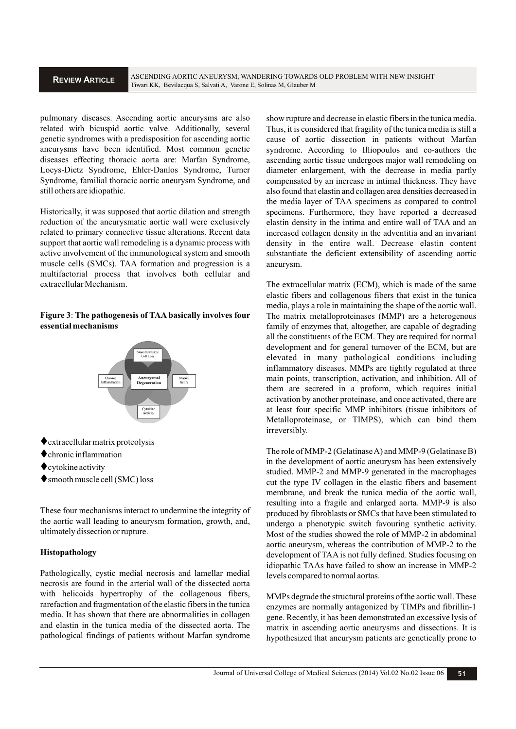### **REVIEW ARTICLE**

pulmonary diseases. Ascending aortic aneurysms are also related with bicuspid aortic valve. Additionally, several genetic syndromes with a predisposition for ascending aortic aneurysms have been identified. Most common genetic diseases effecting thoracic aorta are: Marfan Syndrome, Loeys-Dietz Syndrome, Ehler-Danlos Syndrome, Turner Syndrome, familial thoracic aortic aneurysm Syndrome, and still others are idiopathic.

Historically, it was supposed that aortic dilation and strength reduction of the aneurysmatic aortic wall were exclusively related to primary connective tissue alterations. Recent data support that aortic wall remodeling is a dynamic process with active involvement of the immunological system and smooth muscle cells (SMCs). TAA formation and progression is a multifactorial process that involves both cellular and extracellular Mechanism.

### **Figure 3**: **The pathogenesis of TAA basically involves four essential mechanisms**



- 
- chronic inflammation
- $\bullet$  cytokine activity
- smooth muscle cell (SMC) loss

These four mechanisms interact to undermine the integrity of the aortic wall leading to aneurysm formation, growth, and, ultimately dissection or rupture.

### **Histopathology**

Pathologically, cystic medial necrosis and lamellar medial necrosis are found in the arterial wall of the dissected aorta with helicoids hypertrophy of the collagenous fibers, rarefaction and fragmentation of the elastic fibers in the tunica media. It has shown that there are abnormalities in collagen and elastin in the tunica media of the dissected aorta. The pathological findings of patients without Marfan syndrome show rupture and decrease in elastic fibers in the tunica media. Thus, it is considered that fragility of the tunica media is still a cause of aortic dissection in patients without Marfan syndrome. According to Illiopoulos and co-authors the ascending aortic tissue undergoes major wall remodeling on diameter enlargement, with the decrease in media partly compensated by an increase in intimal thickness. They have also found that elastin and collagen area densities decreased in the media layer of TAA specimens as compared to control specimens. Furthermore, they have reported a decreased elastin density in the intima and entire wall of TAA and an increased collagen density in the adventitia and an invariant density in the entire wall. Decrease elastin content substantiate the deficient extensibility of ascending aortic aneurysm.

The extracellular matrix (ECM), which is made of the same elastic fibers and collagenous fibers that exist in the tunica media, plays a role in maintaining the shape of the aortic wall. The matrix metalloproteinases (MMP) are a heterogenous family of enzymes that, altogether, are capable of degrading all the constituents of the ECM. They are required for normal development and for general turnover of the ECM, but are elevated in many pathological conditions including inflammatory diseases. MMPs are tightly regulated at three main points, transcription, activation, and inhibition. All of them are secreted in a proform, which requires initial activation by another proteinase, and once activated, there are at least four specific MMP inhibitors (tissue inhibitors of Metalloproteinase, or TIMPS), which can bind them irreversibly.

◆ chronic inflammation The role of MMP-2 (Gelatinase A) and MMP-9 (Gelatinase B) • extokine activity<br>studied. MMP-2 and MMP-9 generated in the macrophages • smooth muscle cell (SMC) loss cut the type IV collagen in the elastic fibers and basement in the development of aortic aneurysm has been extensively membrane, and break the tunica media of the aortic wall, resulting into a fragile and enlarged aorta. MMP-9 is also produced by fibroblasts or SMCs that have been stimulated to undergo a phenotypic switch favouring synthetic activity. Most of the studies showed the role of MMP-2 in abdominal aortic aneurysm, whereas the contribution of MMP-2 to the development of TAA is not fully defined. Studies focusing on idiopathic TAAs have failed to show an increase in MMP-2 levels compared to normal aortas.

> MMPs degrade the structural proteins of the aortic wall. These enzymes are normally antagonized by TIMPs and fibrillin-1 gene. Recently, it has been demonstrated an excessive lysis of matrix in ascending aortic aneurysms and dissections. It is hypothesized that aneurysm patients are genetically prone to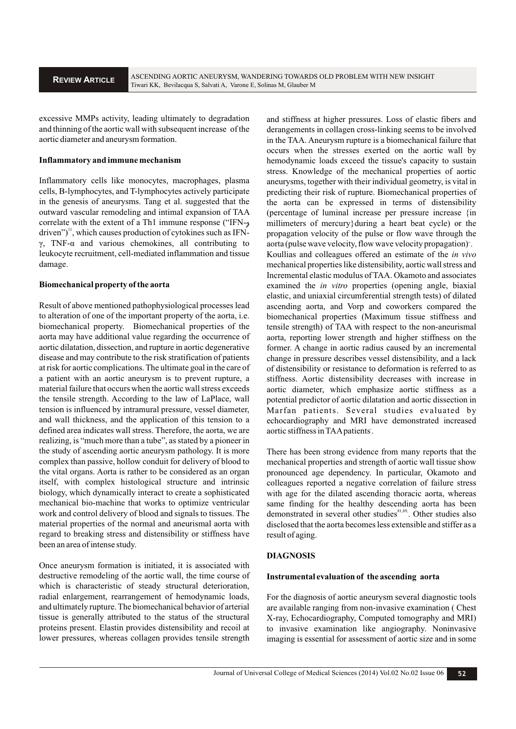excessive MMPs activity, leading ultimately to degradation and thinning of the aortic wall with subsequent increase of the aortic diameter and aneurysm formation.

#### **Inflammatory and immune mechanism**

Inflammatory cells like monocytes, macrophages, plasma cells, B-lymphocytes, and T-lymphocytes actively participate in the genesis of aneurysms. Tang et al. suggested that the outward vascular remodeling and intimal expansion of TAA correlate with the extent of a Th1 immune response ("IFN-γ driven")<sup>11</sup>, which causes production of cytokines such as IFNγ, TNF-α and various chemokines, all contributing to leukocyte recruitment, cell-mediated inflammation and tissue damage.

#### **Biomechanical property of the aorta**

Result of above mentioned pathophysiological processes lead to alteration of one of the important property of the aorta, i.e. biomechanical property. Biomechanical properties of the aorta may have additional value regarding the occurrence of aortic dilatation, dissection, and rupture in aortic degenerative disease and may contribute to the risk stratification of patients at risk for aortic complications. The ultimate goal in the care of a patient with an aortic aneurysm is to prevent rupture, a material failure that occurs when the aortic wall stress exceeds the tensile strength. According to the law of LaPlace, wall tension is influenced by intramural pressure, vessel diameter, and wall thickness, and the application of this tension to a defined area indicates wall stress. Therefore, the aorta, we are realizing, is "much more than a tube", as stated by a pioneer in the study of ascending aortic aneurysm pathology. It is more complex than passive, hollow conduit for delivery of blood to the vital organs. Aorta is rather to be considered as an organ itself, with complex histological structure and intrinsic biology, which dynamically interact to create a sophisticated mechanical bio-machine that works to optimize ventricular work and control delivery of blood and signals to tissues. The material properties of the normal and aneurismal aorta with regard to breaking stress and distensibility or stiffness have been an area of intense study.

Once aneurysm formation is initiated, it is associated with destructive remodeling of the aortic wall, the time course of which is characteristic of steady structural deterioration, radial enlargement, rearrangement of hemodynamic loads, and ultimately rupture. The biomechanical behavior of arterial tissue is generally attributed to the status of the structural proteins present. Elastin provides distensibility and recoil at lower pressures, whereas collagen provides tensile strength

and stiffness at higher pressures. Loss of elastic fibers and derangements in collagen cross-linking seems to be involved in the TAA. Aneurysm rupture is a biomechanical failure that occurs when the stresses exerted on the aortic wall by hemodynamic loads exceed the tissue's capacity to sustain stress. Knowledge of the mechanical properties of aortic aneurysms, together with their individual geometry, is vital in predicting their risk of rupture. Biomechanical properties of the aorta can be expressed in terms of distensibility (percentage of luminal increase per pressure increase {in millimeters of mercury}during a heart beat cycle) or the propagation velocity of the pulse or flow wave through the aorta (pulse wave velocity, flow wave velocity propagation)". Koullias and colleagues offered an estimate of the *in vivo* mechanical properties like distensibility, aortic wall stress and Incremental elastic modulus of TAA. Okamoto and associates examined the *in vitro* properties (opening angle, biaxial elastic, and uniaxial circumferential strength tests) of dilated ascending aorta, and Vorp and coworkers compared the biomechanical properties (Maximum tissue stiffness and tensile strength) of TAA with respect to the non-aneurismal aorta, reporting lower strength and higher stiffness on the former. A change in aortic radius caused by an incremental change in pressure describes vessel distensibility, and a lack of distensibility or resistance to deformation is referred to as stiffness. Aortic distensibility decreases with increase in aortic diameter, which emphasize aortic stiffness as a potential predictor of aortic dilatation and aortic dissection in Marfan patients. Several studies evaluated by echocardiography and MRI have demonstrated increased , aortic stiffness in TAApatients.

There has been strong evidence from many reports that the mechanical properties and strength of aortic wall tissue show pronounced age dependency. In particular, Okamoto and colleagues reported a negative correlation of failure stress with age for the dilated ascending thoracic aorta, whereas same finding for the healthy descending aorta has been demonstrated in several other studies<sup>81,89</sup>. Other studies also disclosed that the aorta becomes less extensible and stiffer as a result of aging.

#### **DIAGNOSIS**

#### **Instrumental evaluation of the ascending aorta**

For the diagnosis of aortic aneurysm several diagnostic tools are available ranging from non-invasive examination ( Chest X-ray, Echocardiography, Computed tomography and MRI) to invasive examination like angiography. Noninvasive imaging is essential for assessment of aortic size and in some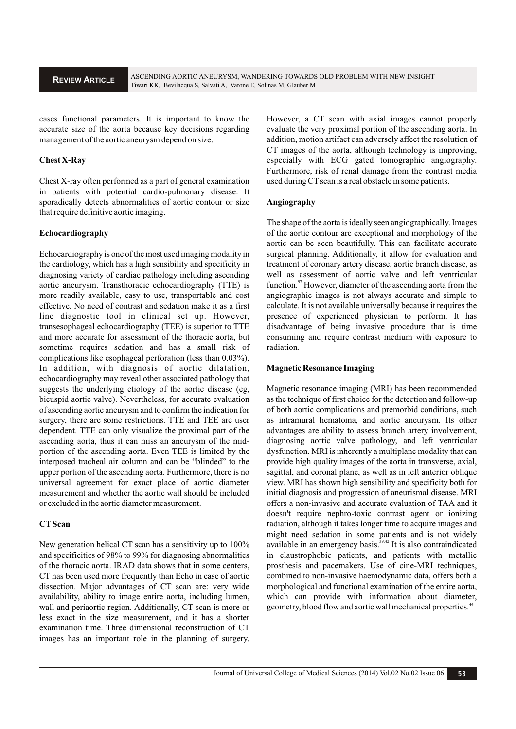cases functional parameters. It is important to know the accurate size of the aorta because key decisions regarding management of the aortic aneurysm depend on size.

### **Chest X-Ray**

Chest X-ray often performed as a part of general examination in patients with potential cardio-pulmonary disease. It sporadically detects abnormalities of aortic contour or size that require definitive aortic imaging.

#### **Echocardiography**

Echocardiography is one of the most used imaging modality in the cardiology, which has a high sensibility and specificity in diagnosing variety of cardiac pathology including ascending aortic aneurysm. Transthoracic echocardiography (TTE) is more readily available, easy to use, transportable and cost effective. No need of contrast and sedation make it as a first line diagnostic tool in clinical set up. However, transesophageal echocardiography (TEE) is superior to TTE and more accurate for assessment of the thoracic aorta, but sometime requires sedation and has a small risk of complications like esophageal perforation (less than 0.03%). In addition, with diagnosis of aortic dilatation, echocardiography may reveal other associated pathology that suggests the underlying etiology of the aortic disease (eg, bicuspid aortic valve). Nevertheless, for accurate evaluation of ascending aortic aneurysm and to confirm the indication for surgery, there are some restrictions. TTE and TEE are user dependent. TTE can only visualize the proximal part of the ascending aorta, thus it can miss an aneurysm of the midportion of the ascending aorta. Even TEE is limited by the interposed tracheal air column and can be "blinded" to the upper portion of the ascending aorta. Furthermore, there is no universal agreement for exact place of aortic diameter measurement and whether the aortic wall should be included or excluded in the aortic diameter measurement.

#### **CTScan**

New generation helical CT scan has a sensitivity up to 100% and specificities of 98% to 99% for diagnosing abnormalities of the thoracic aorta. IRAD data shows that in some centers, CT has been used more frequently than Echo in case of aortic dissection. Major advantages of CT scan are: very wide availability, ability to image entire aorta, including lumen, wall and periaortic region. Additionally, CT scan is more or less exact in the size measurement, and it has a shorter examination time. Three dimensional reconstruction of CT images has an important role in the planning of surgery.

However, a CT scan with axial images cannot properly evaluate the very proximal portion of the ascending aorta. In addition, motion artifact can adversely affect the resolution of CT images of the aorta, although technology is improving, especially with ECG gated tomographic angiography. Furthermore, risk of renal damage from the contrast media used during CT scan is a real obstacle in some patients.

#### **Angiography**

The shape of the aorta is ideally seen angiographically. Images of the aortic contour are exceptional and morphology of the aortic can be seen beautifully. This can facilitate accurate surgical planning. Additionally, it allow for evaluation and treatment of coronary artery disease, aortic branch disease, as well as assessment of aortic valve and left ventricular function. $\frac{97}{7}$  However, diameter of the ascending aorta from the angiographic images is not always accurate and simple to calculate. It is not available universally because it requires the presence of experienced physician to perform. It has disadvantage of being invasive procedure that is time consuming and require contrast medium with exposure to radiation.

#### **Magnetic Resonance Imaging**

Magnetic resonance imaging (MRI) has been recommended as the technique of first choice for the detection and follow-up of both aortic complications and premorbid conditions, such as intramural hematoma, and aortic aneurysm. Its other advantages are ability to assess branch artery involvement, diagnosing aortic valve pathology, and left ventricular dysfunction. MRI is inherently a multiplane modality that can provide high quality images of the aorta in transverse, axial, sagittal, and coronal plane, as well as in left anterior oblique view. MRI has shown high sensibility and specificity both for initial diagnosis and progression of aneurismal disease. MRI offers a non-invasive and accurate evaluation of TAA and it doesn't require nephro-toxic contrast agent or ionizing radiation, although it takes longer time to acquire images and might need sedation in some patients and is not widely available in an emergency basis.  $39,42$  It is also contraindicated in claustrophobic patients, and patients with metallic prosthesis and pacemakers. Use of cine-MRI techniques, combined to non-invasive haemodynamic data, offers both a morphological and functional examination of the entire aorta, which can provide with information about diameter, geometry, blood flow and aortic wall mechanical properties.<sup>44</sup>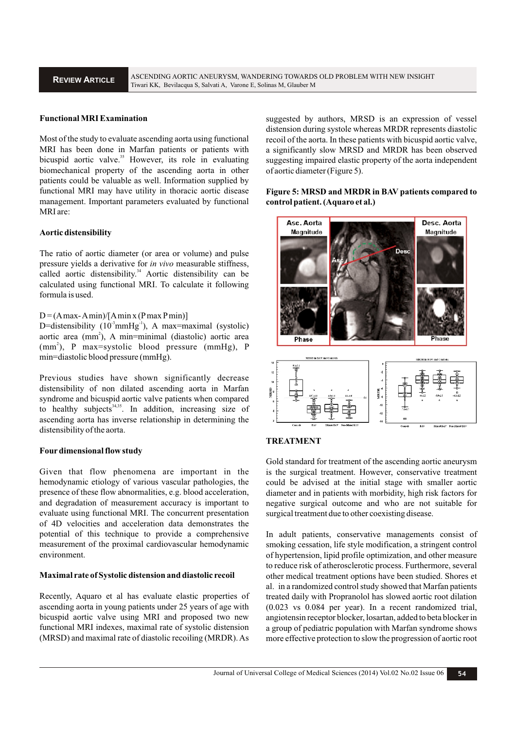### **Functional MRI Examination**

Most of the study to evaluate ascending aorta using functional MRI has been done in Marfan patients or patients with bicuspid aortic valve.<sup>35</sup> However, its role in evaluating biomechanical property of the ascending aorta in other patients could be valuable as well. Information supplied by functional MRI may have utility in thoracic aortic disease management. Important parameters evaluated by functional MRI are:

#### **Aortic distensibility**

The ratio of aortic diameter (or area or volume) and pulse pressure yields a derivative for *in vivo* measurable stiffness, called aortic distensibility.<sup>34</sup> Aortic distensibility can be calculated using functional MRI. To calculate it following formula is used.

#### $D = (A max - A min)/[A min x (P max P min)]$

D=distensibility  $(10^3$ mmHg<sup>-1</sup>), A max=maximal (systolic) aortic area (mm<sup>2</sup>), A min=minimal (diastolic) aortic area (mm<sup>2</sup>), P max=systolic blood pressure (mmHg), P min=diastolic blood pressure (mmHg).

Previous studies have shown significantly decrease distensibility of non dilated ascending aorta in Marfan syndrome and bicuspid aortic valve patients when compared to healthy subjects<sup>34,35</sup>. In addition, increasing size of ascending aorta has inverse relationship in determining the distensibility of the aorta.

#### **Fourdimensional flow study**

Given that flow phenomena are important in the hemodynamic etiology of various vascular pathologies, the presence of these flow abnormalities, e.g. blood acceleration, and degradation of measurement accuracy is important to evaluate using functional MRI. The concurrent presentation of 4D velocities and acceleration data demonstrates the potential of this technique to provide a comprehensive measurement of the proximal cardiovascular hemodynamic environment.

#### **Maximal rate of Systolic distension and diastolic recoil**

Recently, Aquaro et al has evaluate elastic properties of ascending aorta in young patients under 25 years of age with bicuspid aortic valve using MRI and proposed two new functional MRI indexes, maximal rate of systolic distension (MRSD) and maximal rate of diastolic recoiling (MRDR). As

suggested by authors, MRSD is an expression of vessel distension during systole whereas MRDR represents diastolic recoil of the aorta. In these patients with bicuspid aortic valve, a significantly slow MRSD and MRDR has been observed suggesting impaired elastic property of the aorta independent of aortic diameter (Figure 5).

### **Figure 5: MRSD and MRDR in BAV patients compared to control patient. (Aquaro et al.)**



### **TREATMENT**

Gold standard for treatment of the ascending aortic aneurysm is the surgical treatment. However, conservative treatment could be advised at the initial stage with smaller aortic diameter and in patients with morbidity, high risk factors for negative surgical outcome and who are not suitable for surgical treatment due to other coexisting disease.

In adult patients, conservative managements consist of smoking cessation, life style modification, a stringent control of hypertension, lipid profile optimization, and other measure to reduce risk of atherosclerotic process. Furthermore, several other medical treatment options have been studied. Shores et al. in a randomized control study showed that Marfan patients treated daily with Propranolol has slowed aortic root dilation (0.023 vs 0.084 per year). In a recent randomized trial, angiotensin receptor blocker, losartan, added to beta blocker in a group of pediatric population with Marfan syndrome shows more effective protection to slow the progression of aortic root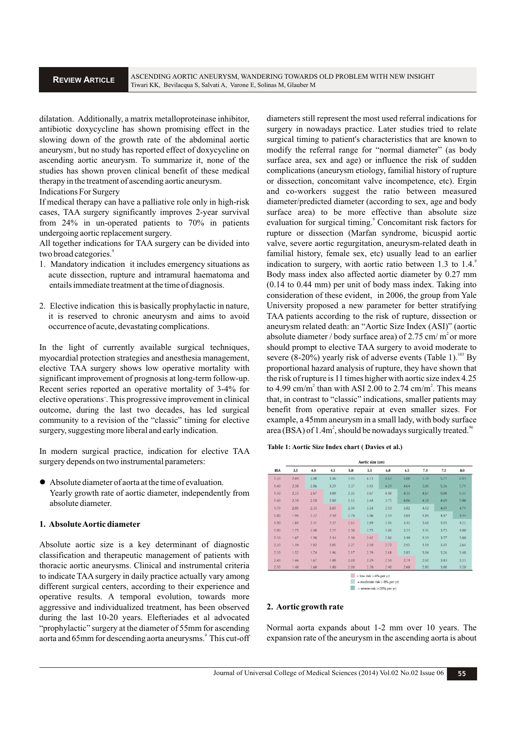dilatation. Additionally, a matrix metalloproteinase inhibitor, antibiotic doxycycline has shown promising effect in the slowing down of the growth rate of the abdominal aortic aneurysm', but no study has reported effect of doxycycline on ascending aortic aneurysm. To summarize it, none of the studies has shown proven clinical benefit of these medical therapy in the treatment of ascending aortic aneurysm.

Indications For Surgery

If medical therapy can have a palliative role only in high-risk cases, TAA surgery significantly improves 2-year survival from 24% in un-operated patients to 70% in patients undergoing aortic replacement surgery.

All together indications for TAA surgery can be divided into two broad categories.<sup>9</sup>

- 1. Mandatory indication it includes emergency situations as acute dissection, rupture and intramural haematoma and entails immediate treatment at the time of diagnosis.
- 2. Elective indication this is basically prophylactic in nature, it is reserved to chronic aneurysm and aims to avoid occurrence of acute, devastating complications.

In the light of currently available surgical techniques, myocardial protection strategies and anesthesia management, elective TAA surgery shows low operative mortality with significant improvement of prognosis at long-term follow-up. Recent series reported an operative mortality of 3-4% for elective operations". This progressive improvement in clinical outcome, during the last two decades, has led surgical community to a revision of the "classic" timing for elective surgery, suggesting more liberal and early indication.

In modern surgical practice, indication for elective TAA surgery depends on two instrumental parameters:

 Absolute diameter of aorta at the time of evaluation. Yearly growth rate of aortic diameter, independently from absolute diameter.

#### **1. Absolute Aortic diameter**

Absolute aortic size is a key determinant of diagnostic classification and therapeutic management of patients with thoracic aortic aneurysms. Clinical and instrumental criteria to indicate TAA surgery in daily practice actually vary among different surgical centers, according to their experience and operative results. A temporal evolution, towards more aggressive and individualized treatment, has been observed during the last 10-20 years. Elefteriades et al advocated "prophylactic" surgery at the diameter of 55mm for ascending aorta and 65mm for descending aorta aneurysms.<sup>9</sup> This cut-off diameters still represent the most used referral indications for surgery in nowadays practice. Later studies tried to relate surgical timing to patient's characteristics that are known to modify the referral range for "normal diameter" (as body surface area, sex and age) or influence the risk of sudden complications (aneurysm etiology, familial history of rupture or dissection, concomitant valve incompetence, etc). Ergin and co-workers suggest the ratio between measured diameter/predicted diameter (according to sex, age and body surface area) to be more effective than absolute size evaluation for surgical timing.<sup>9</sup> Concomitant risk factors for rupture or dissection (Marfan syndrome, bicuspid aortic valve, severe aortic regurgitation, aneurysm-related death in familial history, female sex, etc) usually lead to an earlier indication to surgery, with aortic ratio between 1.3 to 1.4. Body mass index also affected aortic diameter by 0.27 mm (0.14 to 0.44 mm) per unit of body mass index. Taking into consideration of these evident, in 2006, the group from Yale University proposed a new parameter for better stratifying TAA patients according to the risk of rupture, dissection or aneurysm related death: an "Aortic Size Index (ASI)" (aortic absolute diameter / body surface area) of 2.75 cm/ $m<sup>2</sup>$  or more should prompt to elective TAA surgery to avoid moderate to severe (8-20%) yearly risk of adverse events (Table 1).<sup>103</sup> By proportional hazard analysis of rupture, they have shown that the risk of rupture is 11 times higher with aortic size index 4.25 to 4.99 cm/m<sup>2</sup> than with ASI 2.00 to 2.74 cm/m<sup>2</sup>. This means that, in contrast to "classic" indications, smaller patients may benefit from operative repair at even smaller sizes. For example, a 45mm aneurysm in a small lady, with body surface area (BSA) of 1.4m<sup>2</sup>, should be nowadays surgically treated.<sup>96</sup>

**Table 1: Aortic Size Index chart ( Davies et al.)**

| Aortic size (cm)                                            |      |      |      |      |      |      |      |      |      |      |
|-------------------------------------------------------------|------|------|------|------|------|------|------|------|------|------|
| <b>BSA</b>                                                  | 3.5  | 4.0  | 4.5  | 5.0  | 5.5  | 6.0  | 6.5  | 7.0  | 7.5  | 8.0  |
| 1.30                                                        | 2.69 | 3.08 | 3.46 | 3.85 | 4.23 | 4.62 | 5.00 | 5.38 | 5.77 | 6.15 |
| 1.40                                                        | 2.50 | 2.86 | 3.21 | 3.57 | 3.93 | 4.29 | 4.64 | 5.00 | 5.36 | 5.71 |
| 1.50                                                        | 2.33 | 2.67 | 3.00 | 3.33 | 3.67 | 4.00 | 4.33 | 4.67 | 5.00 | 5.33 |
| 1.60                                                        | 2.19 | 2.50 | 2.80 | 3.13 | 3.44 | 3.75 | 4.06 | 4.38 | 4.69 | 5.00 |
| 1.70                                                        | 2.05 | 2.35 | 2.65 | 2.94 | 3.24 | 3.53 | 3.82 | 4.12 | 4.41 | 4.71 |
| 1.80                                                        | 1.94 | 2.22 | 2.50 | 2.78 | 3.06 | 3.33 | 3.61 | 3.89 | 4.17 | 4.44 |
| 1.90                                                        | 1.84 | 2.11 | 2.37 | 2.63 | 2.89 | 3.16 | 3.42 | 3.68 | 3.95 | 4.22 |
| 2.00                                                        | 1.75 | 2.00 | 2.25 | 2.50 | 2.75 | 3.00 | 3.25 | 3.50 | 3.75 | 4.00 |
| 2.10                                                        | 1.67 | 1.90 | 2.14 | 2.38 | 2.62 | 2.86 | 3.10 | 3.33 | 3.57 | 3.80 |
| 2.20                                                        | 1.59 | 1.82 | 2.05 | 2.27 | 2.50 | 2.72 | 2.95 | 3.18 | 3.41 | 2.64 |
| 2.30                                                        | 1.52 | 1.74 | 1.96 | 2.17 | 2.39 | 2.61 | 2.83 | 3.04 | 3.26 | 3.48 |
| 2.40                                                        | 1.46 | 1.67 | 1.88 | 2.08 | 2.29 | 2.50 | 2.71 | 2.92 | 3.13 | 3.33 |
| 2.50                                                        | 1.40 | 1.60 | 1.80 | 2.00 | 2.20 | 2.40 | 2.60 | 2.80 | 3.00 | 3.20 |
| $=$ low risk (~4% per yr)<br>considerate delight AAS around |      |      |      |      |      |      |      |      |      |      |

= moderate risk (~8% per vr) = severe risk  $(-20\%$  per yr

#### **2. Aortic growth rate**

Normal aorta expands about 1-2 mm over 10 years. The expansion rate of the aneurysm in the ascending aorta is about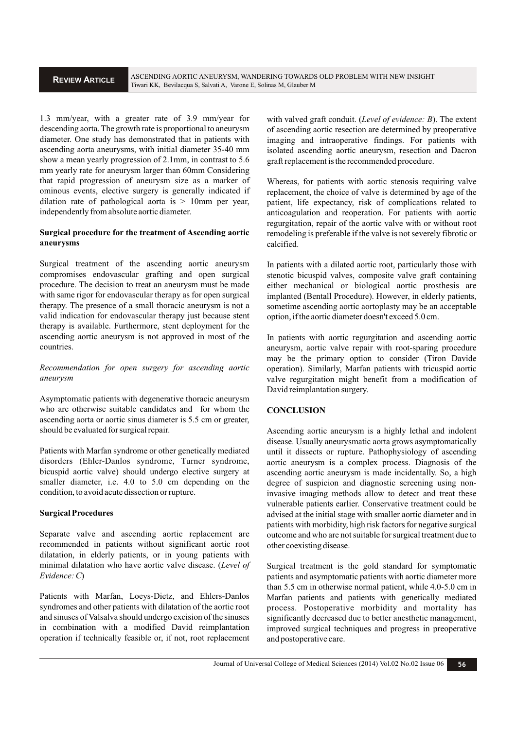1.3 mm/year, with a greater rate of 3.9 mm/year for descending aorta. The growth rate is proportional to aneurysm diameter. One study has demonstrated that in patients with ascending aorta aneurysms, with initial diameter 35-40 mm show a mean yearly progression of 2.1mm, in contrast to 5.6 mm yearly rate for aneurysm larger than 60mm Considering that rapid progression of aneurysm size as a marker of ominous events, elective surgery is generally indicated if dilation rate of pathological aorta is  $> 10$ mm per year, independently from absolute aortic diameter.

### **Surgical procedure for the treatment of Ascending aortic aneurysms**

Surgical treatment of the ascending aortic aneurysm compromises endovascular grafting and open surgical procedure. The decision to treat an aneurysm must be made with same rigor for endovascular therapy as for open surgical therapy. The presence of a small thoracic aneurysm is not a valid indication for endovascular therapy just because stent therapy is available. Furthermore, stent deployment for the ascending aortic aneurysm is not approved in most of the countries.

*Recommendation for open surgery for ascending aortic aneurysm*

Asymptomatic patients with degenerative thoracic aneurysm who are otherwise suitable candidates and for whom the ascending aorta or aortic sinus diameter is 5.5 cm or greater, should be evaluated for surgical repair.

Patients with Marfan syndrome or other genetically mediated disorders (Ehler-Danlos syndrome, Turner syndrome, bicuspid aortic valve) should undergo elective surgery at smaller diameter, i.e. 4.0 to 5.0 cm depending on the condition, to avoid acute dissection or rupture.

### **Surgical Procedures**

Separate valve and ascending aortic replacement are recommended in patients without significant aortic root dilatation, in elderly patients, or in young patients with minimal dilatation who have aortic valve disease. (*Level of Evidence: C*)

Patients with Marfan, Loeys-Dietz, and Ehlers-Danlos syndromes and other patients with dilatation of the aortic root and sinuses of Valsalva should undergo excision of the sinuses in combination with a modified David reimplantation operation if technically feasible or, if not, root replacement

with valved graft conduit. (*Level of evidence: B*). The extent of ascending aortic resection are determined by preoperative imaging and intraoperative findings. For patients with isolated ascending aortic aneurysm, resection and Dacron graft replacement is the recommended procedure.

Whereas, for patients with aortic stenosis requiring valve replacement, the choice of valve is determined by age of the patient, life expectancy, risk of complications related to anticoagulation and reoperation. For patients with aortic regurgitation, repair of the aortic valve with or without root remodeling is preferable if the valve is not severely fibrotic or calcified.

In patients with a dilated aortic root, particularly those with stenotic bicuspid valves, composite valve graft containing either mechanical or biological aortic prosthesis are implanted (Bentall Procedure). However, in elderly patients, sometime ascending aortic aortoplasty may be an acceptable option, if the aortic diameter doesn't exceed 5.0 cm.

In patients with aortic regurgitation and ascending aortic aneurysm, aortic valve repair with root-sparing procedure may be the primary option to consider (Tiron Davide operation). Similarly, Marfan patients with tricuspid aortic valve regurgitation might benefit from a modification of David reimplantation surgery.

## **CONCLUSION**

Ascending aortic aneurysm is a highly lethal and indolent disease. Usually aneurysmatic aorta grows asymptomatically until it dissects or rupture. Pathophysiology of ascending aortic aneurysm is a complex process. Diagnosis of the ascending aortic aneurysm is made incidentally. So, a high degree of suspicion and diagnostic screening using noninvasive imaging methods allow to detect and treat these vulnerable patients earlier. Conservative treatment could be advised at the initial stage with smaller aortic diameter and in patients with morbidity, high risk factors for negative surgical outcome and who are not suitable for surgical treatment due to other coexisting disease.

Surgical treatment is the gold standard for symptomatic patients and asymptomatic patients with aortic diameter more than 5.5 cm in otherwise normal patient, while 4.0-5.0 cm in Marfan patients and patients with genetically mediated process. Postoperative morbidity and mortality has significantly decreased due to better anesthetic management, improved surgical techniques and progress in preoperative and postoperative care.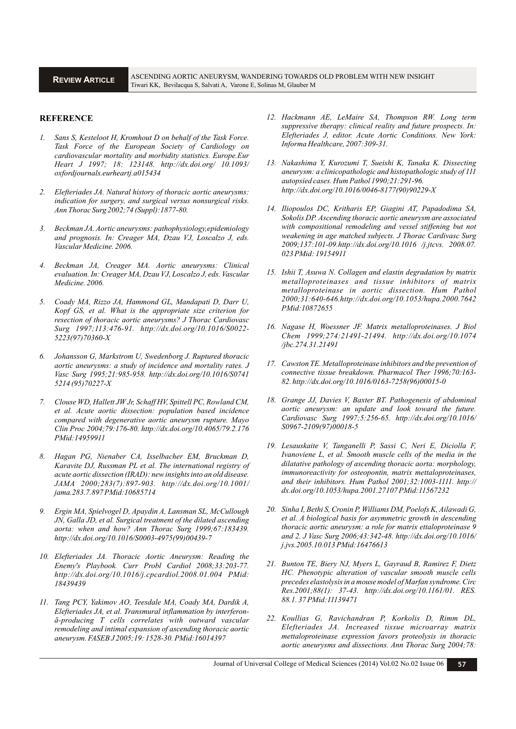#### **REFERENCE**

- *1. Sans S, Kesteloot H, Kromhout D on behalf of the Task Force. Task Force of the European Society of Cardiology on cardiovascular mortality and morbidity statistics. Europe.Eur Heart J 1997; 18: 123148. http://dx.doi.org/ 10.1093/ oxfordjournals.eurheartj.a015434*
- *2. Elefteriades JA. Natural history of thoracic aortic aneurysms: indication for surgery, and surgical versus nonsurgical risks. Ann Thorac Surg 2002;74 (Suppl):1877-80.*
- *3. Beckman JA. Aortic aneurysms: pathophysiology,epidemiology and prognosis. In: Creager MA, Dzau VJ, Loscalzo J, eds. Vascular Medicine. 2006.*
- *4. Beckman JA, Creager MA. Aortic aneurysms: Clinical evaluation. In: Creager MA, Dzau VJ, Loscalzo J, eds. Vascular Medicine. 2006.*
- *5. Coady MA, Rizzo JA, Hammond GL, Mandapati D, Darr U, Kopf GS, et al. What is the appropriate size criterion for resection of thoracic aortic aneurysms? J Thorac Cardiovasc Surg 1997;113:476-91. http://dx.doi.org/10.1016/S0022- 5223(97)70360-X*
- *6. Johansson G, Markstrom U, Swedenborg J. Ruptured thoracic aortic aneurysms: a study of incidence and mortality rates. J Vasc Surg 1995;21:985-958. http://dx.doi.org/10.1016/S0741 5214 (95)70227-X*
- *7. Clouse WD, Hallett JW Jr, Schaff HV, Spittell PC, Rowland CM, et al. Acute aortic dissection: population based incidence compared with degenerative aortic aneurysm rupture. Mayo Clin Proc 2004;79:176-80. http://dx.doi.org/10.4065/79.2.176 PMid:14959911*
- *8. Hagan PG, Nienaber CA, Isselbacher EM, Bruckman D, Karavite DJ, Russman PL et al. The international registry of acute aortic dissection (IRAD): new insights into an old disease. JAMA 2000;283(7):897-903. http://dx.doi.org/10.1001/ jama.283.7.897 PMid:10685714*
- *9. Ergin MA, Spielvogel D, Apaydin A, Lansman SL, McCullough JN, Galla JD, et al. Surgical treatment of the dilated ascending aorta: when and how? Ann Thorac Surg 1999;67:183439. http://dx.doi.org/10.1016/S0003-4975(99)00439-7*
- *10. Elefteriades JA. Thoracic Aortic Aneurysm: Reading the Enemy's Playbook. Curr Probl Cardiol 2008;33:203-77. http://dx.doi.org/10.1016/j.cpcardiol.2008.01.004 PMid: 18439439*
- *11. Tang PCY, Yakimov AO, Teesdale MA, Coady MA, Dardik A, Elefteriades JA, et al. Transmural inflammation by interferonã-producing T cells correlates with outward vascular remodeling and intimal expansion of ascending thoracic aortic aneurysm. FASEB J 2005;19: 1528-30. PMid:16014397*
- *12. Hackmann AE, LeMaire SA, Thompson RW. Long term suppressive therapy: clinical reality and future prospects. In: Elefteriades J, editor. Acute Aortic Conditions. New York: Informa Healthcare, 2007:309-31.*
- *13. Nakashima Y, Kurozumi T, Sueishi K, Tanaka K. Dissecting aneurysm: a clinicopathologic and histopathologic study of 111 autopsied cases. Hum Pathol 1990;21:291-96. http://dx.doi.org/10.1016/0046-8177(90)90229-X*
- *14. Iliopoulos DC, Kritharis EP, Giagini AT, Papadodima SA, Sokolis DP. Ascending thoracic aortic aneurysm are associated with compositional remodeling and vessel stiffening but not weakening in age matched subjects. J Thorac Cardivasc Surg 2009;137:101-09.http://dx.doi.org/10.1016 /j.jtcvs. 2008.07. 023 PMid: 19154911*
- *15. Ishii T, Asuwa N. Collagen and elastin degradation by matrix metalloproteinases and tissue inhibitors of matrix metalloproteinase in aortic dissection. Hum Pathol 2000;31:640-646.http://dx.doi.org/10.1053/hupa.2000.7642 PMid:10872655*
- *16. Nagase H, Woessner JF. Matrix metalloproteinases. J Biol Chem 1999;274:21491-21494. http://dx.doi.org/10.1074 /jbc.274.31.21491*
- *17. Cawston TE. Metalloproteinase inhibitors and the prevention of connective tissue breakdown. Pharmacol Ther 1996;70:163- 82. http://dx.doi.org/10.1016/0163-7258(96)00015-0*
- *18. Grange JJ, Davies V, Baxter BT. Pathogenesis of abdominal aortic aneurysm: an update and look toward the future. Cardiovasc Surg 1997;5:256-65. http://dx.doi.org/10.1016/ S0967-2109(97)00018-5*
- *19. Lesauskaite V, Tanganelli P, Sassi C, Neri E, Diciolla F, Ivanoviene L, et al. Smooth muscle cells of the media in the dilatative pathology of ascending thoracic aorta: morphology, immunoreactivity for osteopontin, matrix mettaloproteinases, and their inhibitors. Hum Pathol 2001;32:1003-1111. http:// dx.doi.org/10.1053/hupa.2001.27107 PMid:11567232*
- *20. Sinha I, Bethi S, Cronin P, Williams DM, Poelofs K, Ailawadi G, et al. A biological basis for asymmetric growth in descending thoracic aortic aneurysm: a role for matrix ettaloproteinase 9 and 2. J Vasc Surg 2006;43:342-48. http://dx.doi.org/10.1016/ j.jvs.2005.10.013 PMid:16476613*
- *21. Bunton TE, Biery NJ, Myers L, Gayraud B, Ramirez F, Dietz HC. Phenotypic alteration of vascular smooth muscle cells precedes elastolysis in a mouse model of Marfan syndrome. Circ Res.2001;88(1): 37-43. http://dx.doi.org/10.1161/01. RES. 88.1. 37 PMid:11139471*
- *22. Koullias G, Ravichandran P, Korkolis D, Rimm DL, Elefteriades JA. Increased tissue microarray matrix mettaloproteinase expression favors proteolysis in thoracic aortic aneurysms and dissections. Ann Thorac Surg 2004;78:*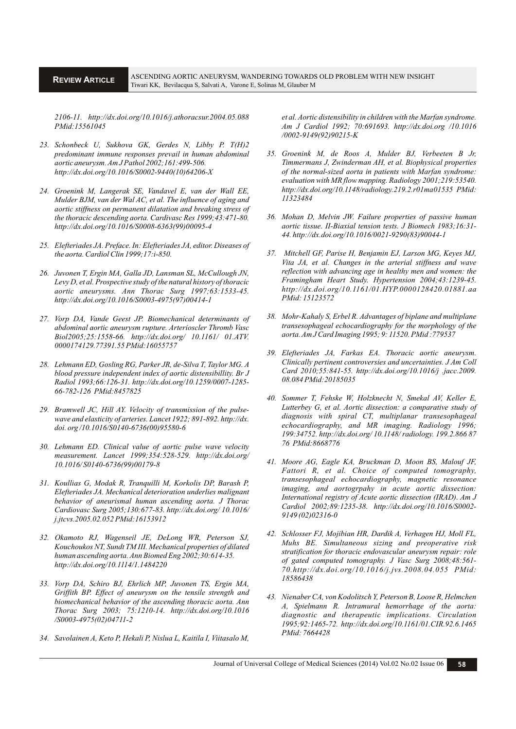*2106-11. http://dx.doi.org/10.1016/j.athoracsur.2004.05.088 PMid:15561045*

- *23. Schonbeck U, Sukhova GK, Gerdes N, Libby P. T(H)2 predominant immune responses prevail in human abdominal aortic aneurysm. Am J Pathol 2002;161:499-506. http://dx.doi.org/10.1016/S0002-9440(10)64206-X*
- *24. Groenink M, Langerak SE, Vandavel E, van der Wall EE, Mulder BJM, van der Wal AC, et al. The influence of aging and aortic stiffness on permanent dilatation and breaking stress of the thoracic descending aorta. Cardivasc Res 1999;43:471-80. http://dx.doi.org/10.1016/S0008-6363(99)00095-4*
- *25. Elefteriades JA. Preface. In: Elefteriades JA, editor. Diseases of the aorta. Cardiol Clin 1999;17:i-850.*
- *26. Juvonen T, Ergin MA, Galla JD, Lansman SL, McCullough JN, Levy D, et al. Prospective study of the natural history of thoracic aortic aneurysms. Ann Thorac Surg 1997;63:1533-45. http://dx.doi.org/10.1016/S0003-4975(97)00414-1*
- *27. Vorp DA, Vande Geest JP. Biomechanical determinants of abdominal aortic aneurysm rupture. Arterioscler Thromb Vasc Biol2005;25:1558-66. http://dx.doi.org/ 10.1161/ 01.ATV. 0000174129.77391.55 PMid:16055757*
- *28. Lehmann ED, Gosling RG, Parker JR, de-Silva T, Taylor MG. A blood pressure independent index of aortic distensibillity. Br J Radiol 1993;66:126-31. http://dx.doi.org/10.1259/0007-1285- 66-782-126 PMid:8457825*
- *29. Bramwell JC, Hill AY. Velocity of transmission of the pulsewave and elasticity of arteries. Lancet 1922; 891-892. http://dx. doi. org /10.1016/S0140-6736(00)95580-6*
- *30. Lehmann ED. Clinical value of aortic pulse wave velocity measurement. Lancet 1999;354:528-529. http://dx.doi.org/ 10.1016/ S0140-6736(99)00179-8*
- *31. Koullias G, Modak R, Tranquilli M, Korkolis DP, Barash P, Elefteriades JA. Mechanical deterioration underlies malignant behavior of aneurismal human ascending aorta. J Thorac Cardiovasc Surg 2005;130:677-83. http://dx.doi.org/ 10.1016/ j.jtcvs.2005.02.052 PMid:16153912*
- *32. Okamoto RJ, Wagenseil JE, DeLong WR, Peterson SJ, Kouchoukos NT, Sundt TM III. Mechanical properties of dilated human ascending aorta. Ann Biomed Eng 2002;30:614-35. http://dx.doi.org/10.1114/1.1484220*
- *33. Vorp DA, Schiro BJ, Ehrlich MP, Juvonen TS, Ergin MA, Griffith BP. Effect of aneurysm on the tensile strength and biomechanical behavior of the ascending thoracic aorta. Ann Thorac Surg 2003; 75:1210-14. http://dx.doi.org/10.1016 /S0003-4975(02)04711-2*
- *34. Savolainen A, Keto P, Hekali P, Nislua L, Kaitila I, Viitasalo M,*

*et al. Aortic distensibility in children with the Marfan syndrome. Am J Cardiol 1992; 70:691693. http://dx.doi.org /10.1016 /0002-9149(92)90215-K*

- *35. Groenink M, de Roos A, Mulder BJ, Verbeeten B Jr, Timmermans J, Zwinderman AH, et al. Biophysical properties of the normal-sized aorta in patients with Marfan syndrome: evaluation with MR flow mapping. Radiology 2001;219:53540. http://dx.doi.org/10.1148/radiology.219.2.r01ma01535 PMid: 11323484*
- *36. Mohan D, Melvin JW. Failure properties of passive human aortic tissue. II-Biaxial tension tests. J Biomech 1983;16:31- 44. http://dx.doi.org/10.1016/0021-9290(83)90044-1*
- *37. Mitchell GF, Parise H, Benjamin EJ, Larson MG, Keyes MJ, Vita JA, et al. Changes in the arterial stiffness and wave reflection with advancing age in healthy men and women: the Framingham Heart Study. Hypertension 2004;43:1239-45. http://dx.doi.org/10.1161/01.HYP.0000128420.01881.aa PMid: 15123572*
- *38. Mohr-Kahaly S, Erbel R. Advantages of biplane and multiplane transesophageal echocardiography for the morphology of the aorta. Am J Card Imaging 1995; 9: 11520. PMid :779537*
- *39. Elefteriades JA, Farkas EA. Thoracic aortic aneurysm. Clinically pertinent controversies and uncertainties. J Am Coll Card 2010;55:841-55. http://dx.doi.org/10.1016/j .jacc.2009. 08.084 PMid:20185035*
- *40. Sommer T, Fehske W, Holzknecht N, Smekal AV, Keller E, Lutterbey G, et al. Aortic dissection: a comparative study of diagnosis with spiral CT, multiplanar transesophageal echocardiography, and MR imaging. Radiology 1996; 199:34752. http://dx.doi.org/ 10.1148/ radiology. 199.2.866 87 76 PMid:8668776*
- *41. Moore AG, Eagle KA, Bruckman D, Moon BS, Malouf JF, Fattori R, et al. Choice of computed tomography, transesophageal echocardiography, magnetic resonance imaging, and aortogrpahy in acute aortic dissection: International registry of Acute aortic dissection (IRAD). Am J Cardiol 2002;89:1235-38. http://dx.doi.org/10.1016/S0002- 9149 (02)02316-0*
- *42. Schlosser FJ, Mojibian HR, Dardik A, Verhagen HJ, Moll FL, Muhs BE. Simultaneous sizing and preoperative risk stratification for thoracic endovascular aneurysm repair: role of gated computed tomography. J Vasc Surg 2008;48:561- 70.http://dx.doi.org/10.1016/j.jvs.2008.04.055 PMid: 18586438*
- *43. Nienaber CA, von Kodolitsch Y, Peterson B, Loose R, Helmchen A, Spielmann R. Intramural hemorrhage of the aorta: diagnostic and therapeutic implications. Circulation 1995;92:1465-72. http://dx.doi.org/10.1161/01.CIR.92.6.1465 PMid: 7664428*